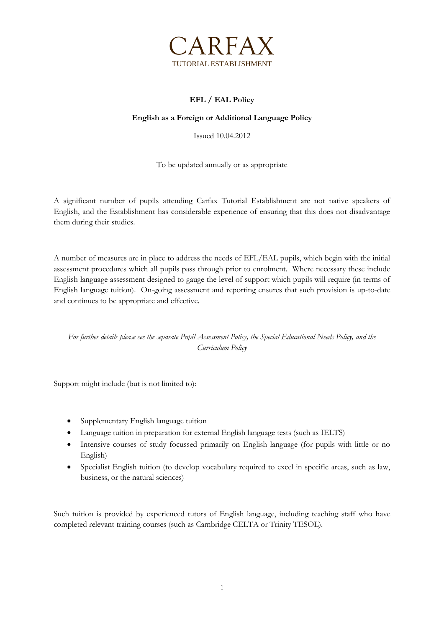

## **EFL / EAL Policy**

## **English as a Foreign or Additional Language Policy**

Issued 10.04.2012

To be updated annually or as appropriate

A significant number of pupils attending Carfax Tutorial Establishment are not native speakers of English, and the Establishment has considerable experience of ensuring that this does not disadvantage them during their studies.

A number of measures are in place to address the needs of EFL/EAL pupils, which begin with the initial assessment procedures which all pupils pass through prior to enrolment. Where necessary these include English language assessment designed to gauge the level of support which pupils will require (in terms of English language tuition). On-going assessment and reporting ensures that such provision is up-to-date and continues to be appropriate and effective.

*For further details please see the separate Pupil Assessment Policy, the Special Educational Needs Policy, and the Curriculum Policy*

Support might include (but is not limited to):

- Supplementary English language tuition
- Language tuition in preparation for external English language tests (such as IELTS)
- Intensive courses of study focussed primarily on English language (for pupils with little or no English)
- Specialist English tuition (to develop vocabulary required to excel in specific areas, such as law, business, or the natural sciences)

Such tuition is provided by experienced tutors of English language, including teaching staff who have completed relevant training courses (such as Cambridge CELTA or Trinity TESOL).